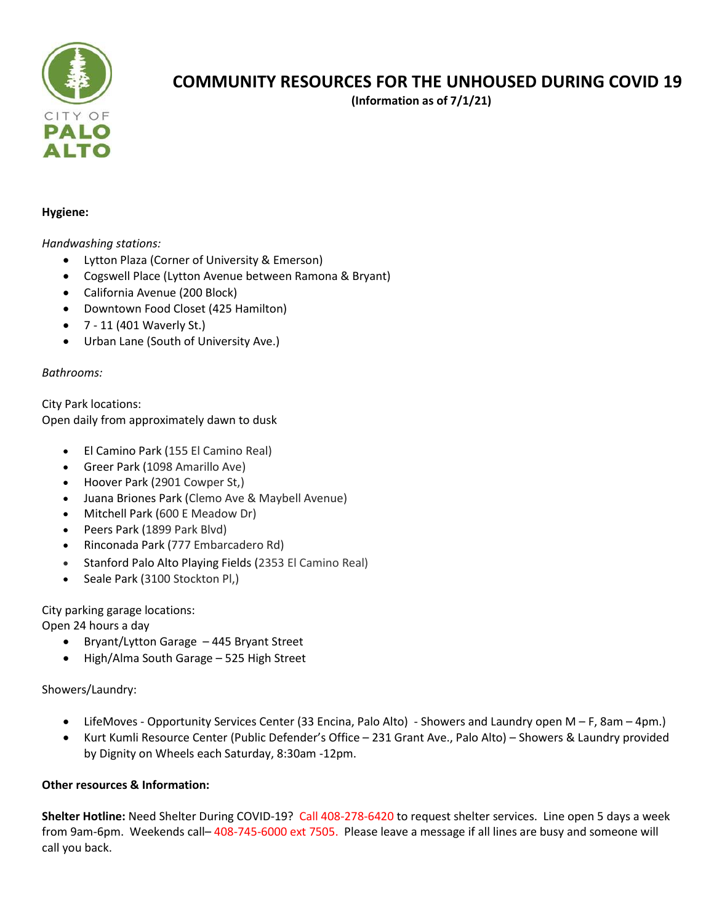

# **COMMUNITY RESOURCES FOR THE UNHOUSED DURING COVID 19**

**(Information as of 7/1/21)**

#### **Hygiene:**

### *Handwashing stations:*

- Lytton Plaza (Corner of University & Emerson)
- Cogswell Place (Lytton Avenue between Ramona & Bryant)
- California Avenue (200 Block)
- Downtown Food Closet (425 Hamilton)
- 7 11 (401 Waverly St.)
- Urban Lane (South of University Ave.)

## *Bathrooms:*

City Park locations: Open daily from approximately dawn to dusk

- El Camino Park (155 El Camino Real)
- Greer Park (1098 Amarillo Ave)
- Hoover Park (2901 Cowper St,)
- Juana Briones Park (Clemo Ave & Maybell Avenue)
- Mitchell Park (600 E Meadow Dr)
- Peers Park (1899 Park Blvd)
- Rinconada Park (777 Embarcadero Rd)
- Stanford Palo Alto Playing Fields (2353 El Camino Real)
- Seale Park (3100 Stockton Pl,)

City parking garage locations:

Open 24 hours a day

- Bryant/Lytton Garage 445 Bryant Street
- High/Alma South Garage 525 High Street

Showers/Laundry:

- LifeMoves Opportunity Services Center (33 Encina, Palo Alto) Showers and Laundry open M F, 8am 4pm.)
- Kurt Kumli Resource Center (Public Defender's Office 231 Grant Ave., Palo Alto) Showers & Laundry provided by Dignity on Wheels each Saturday, 8:30am -12pm.

## **Other resources & Information:**

**Shelter Hotline:** Need Shelter During COVID-19? Call 408-278-6420 to request shelter services. Line open 5 days a week from 9am-6pm. Weekends call– 408-745-6000 ext 7505. Please leave a message if all lines are busy and someone will call you back.